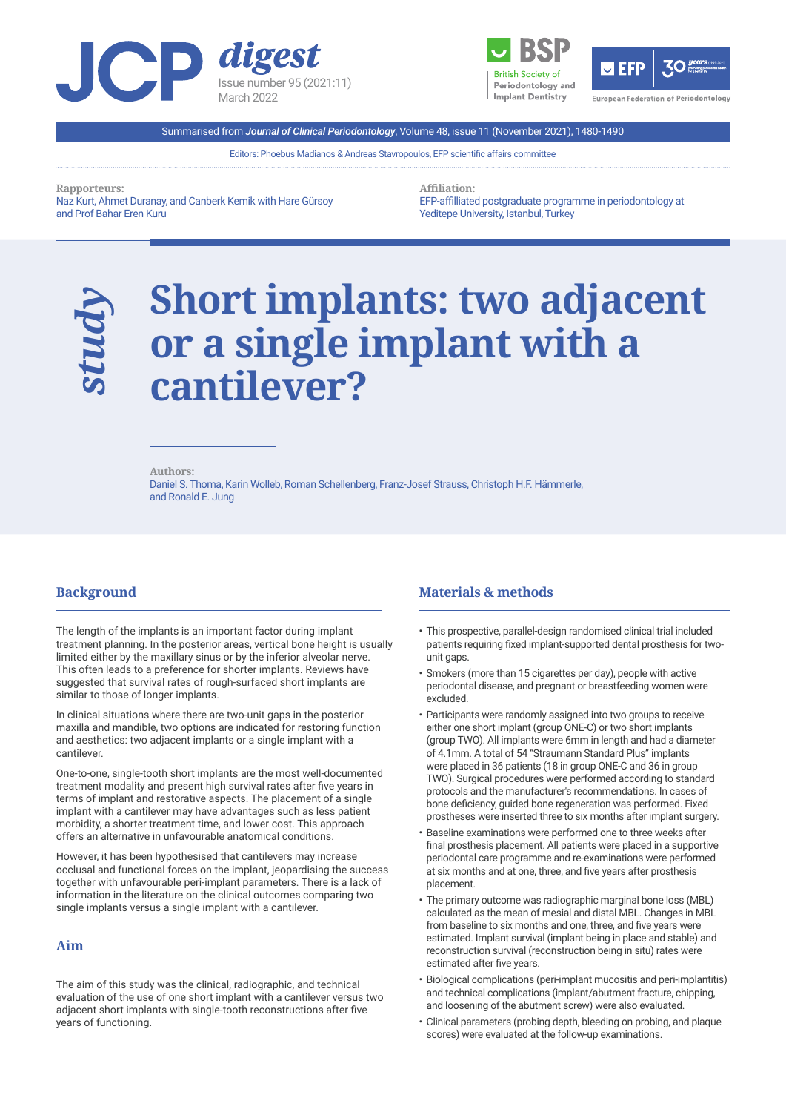





Summarised from *Journal of Clinical Periodontology*, Volume 48, issue 11 (November 2021), 1480-1490

Editors: Phoebus Madianos & Andreas Stavropoulos, EFP scientific affairs committee

**Rapporteurs:** 

Naz Kurt, Ahmet Duranay, and Canberk Kemik with Hare Gürsoy and Prof Bahar Eren Kuru

**Affiliation:** 

EFP-affilliated postgraduate programme in periodontology at Yeditepe University, Istanbul, Turkey

# **Short implants: two adjacent or a single implant with a cantilever?**

 $\overline{a}$ 

**Authors:** 

Daniel S. Thoma, Karin Wolleb, Roman Schellenberg, Franz-Josef Strauss, Christoph H.F. Hämmerle, and Ronald E. Jung

## **Background**

*study*

 $\overline{a}$ 

The length of the implants is an important factor during implant treatment planning. In the posterior areas, vertical bone height is usually limited either by the maxillary sinus or by the inferior alveolar nerve. This often leads to a preference for shorter implants. Reviews have suggested that survival rates of rough-surfaced short implants are similar to those of longer implants.

In clinical situations where there are two-unit gaps in the posterior maxilla and mandible, two options are indicated for restoring function and aesthetics: two adjacent implants or a single implant with a cantilever.

One-to-one, single-tooth short implants are the most well-documented treatment modality and present high survival rates after five years in terms of implant and restorative aspects. The placement of a single implant with a cantilever may have advantages such as less patient morbidity, a shorter treatment time, and lower cost. This approach offers an alternative in unfavourable anatomical conditions.

However, it has been hypothesised that cantilevers may increase occlusal and functional forces on the implant, jeopardising the success together with unfavourable peri-implant parameters. There is a lack of information in the literature on the clinical outcomes comparing two single implants versus a single implant with a cantilever.

## **Aim**

l

The aim of this study was the clinical, radiographic, and technical evaluation of the use of one short implant with a cantilever versus two adjacent short implants with single-tooth reconstructions after five years of functioning.

## **Materials & methods**

- This prospective, parallel-design randomised clinical trial included patients requiring fixed implant-supported dental prosthesis for twounit gaps.
- Smokers (more than 15 cigarettes per day), people with active periodontal disease, and pregnant or breastfeeding women were excluded.
- Participants were randomly assigned into two groups to receive either one short implant (group ONE-C) or two short implants (group TWO). All implants were 6mm in length and had a diameter of 4.1mm. A total of 54 "Straumann Standard Plus" implants were placed in 36 patients (18 in group ONE-C and 36 in group TWO). Surgical procedures were performed according to standard protocols and the manufacturer's recommendations. In cases of bone deficiency, guided bone regeneration was performed. Fixed prostheses were inserted three to six months after implant surgery.
- Baseline examinations were performed one to three weeks after final prosthesis placement. All patients were placed in a supportive periodontal care programme and re-examinations were performed at six months and at one, three, and five years after prosthesis placement.
- The primary outcome was radiographic marginal bone loss (MBL) calculated as the mean of mesial and distal MBL. Changes in MBL from baseline to six months and one, three, and five years were estimated. Implant survival (implant being in place and stable) and reconstruction survival (reconstruction being in situ) rates were estimated after five years.
- Biological complications (peri-implant mucositis and peri-implantitis) and technical complications (implant/abutment fracture, chipping, and loosening of the abutment screw) were also evaluated.
- Clinical parameters (probing depth, bleeding on probing, and plaque scores) were evaluated at the follow-up examinations.